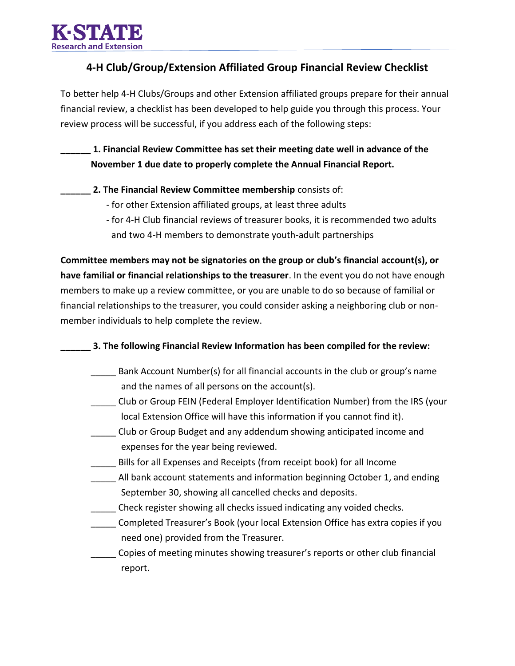

## **4-H Club/Group/Extension Affiliated Group Financial Review Checklist**

To better help 4-H Clubs/Groups and other Extension affiliated groups prepare for their annual financial review, a checklist has been developed to help guide you through this process. Your review process will be successful, if you address each of the following steps:

**\_\_\_\_\_\_ 1. Financial Review Committee has set their meeting date well in advance of the November 1 due date to properly complete the Annual Financial Report.** 

- **\_\_\_\_\_\_ 2. The Financial Review Committee membership** consists of:
	- for other Extension affiliated groups, at least three adults
	- for 4-H Club financial reviews of treasurer books, it is recommended two adults and two 4-H members to demonstrate youth-adult partnerships

**Committee members may not be signatories on the group or club's financial account(s), or have familial or financial relationships to the treasurer**. In the event you do not have enough members to make up a review committee, or you are unable to do so because of familial or financial relationships to the treasurer, you could consider asking a neighboring club or nonmember individuals to help complete the review.

- **\_\_\_\_\_\_ 3. The following Financial Review Information has been compiled for the review:** 
	- Bank Account Number(s) for all financial accounts in the club or group's name and the names of all persons on the account(s).
	- \_\_\_\_\_ Club or Group FEIN (Federal Employer Identification Number) from the IRS (your local Extension Office will have this information if you cannot find it).
	- \_\_\_\_\_ Club or Group Budget and any addendum showing anticipated income and expenses for the year being reviewed.
	- \_\_\_\_\_ Bills for all Expenses and Receipts (from receipt book) for all Income
	- \_\_\_\_\_ All bank account statements and information beginning October 1, and ending September 30, showing all cancelled checks and deposits.
	- \_\_\_\_\_ Check register showing all checks issued indicating any voided checks.
	- \_\_\_\_\_ Completed Treasurer's Book (your local Extension Office has extra copies if you need one) provided from the Treasurer.
	- \_\_\_\_\_ Copies of meeting minutes showing treasurer's reports or other club financial report.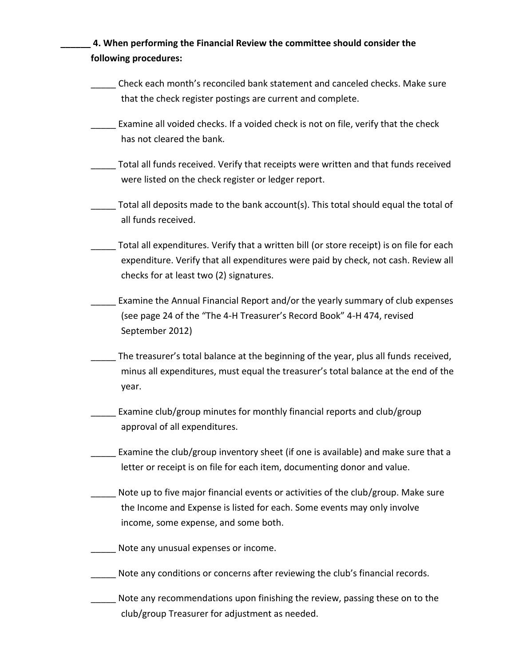| 4. When performing the Financial Review the committee should consider the<br>following procedures:                                                                                                                         |  |
|----------------------------------------------------------------------------------------------------------------------------------------------------------------------------------------------------------------------------|--|
| Check each month's reconciled bank statement and canceled checks. Make sure<br>that the check register postings are current and complete.                                                                                  |  |
| Examine all voided checks. If a voided check is not on file, verify that the check<br>has not cleared the bank.                                                                                                            |  |
| Total all funds received. Verify that receipts were written and that funds received<br>were listed on the check register or ledger report.                                                                                 |  |
| Total all deposits made to the bank account(s). This total should equal the total of<br>all funds received.                                                                                                                |  |
| Total all expenditures. Verify that a written bill (or store receipt) is on file for each<br>expenditure. Verify that all expenditures were paid by check, not cash. Review all<br>checks for at least two (2) signatures. |  |
| Examine the Annual Financial Report and/or the yearly summary of club expenses<br>(see page 24 of the "The 4-H Treasurer's Record Book" 4-H 474, revised<br>September 2012)                                                |  |
| The treasurer's total balance at the beginning of the year, plus all funds received,<br>minus all expenditures, must equal the treasurer's total balance at the end of the<br>year.                                        |  |
| Examine club/group minutes for monthly financial reports and club/group<br>approval of all expenditures.                                                                                                                   |  |
| Examine the club/group inventory sheet (if one is available) and make sure that a<br>letter or receipt is on file for each item, documenting donor and value.                                                              |  |
| Note up to five major financial events or activities of the club/group. Make sure<br>the Income and Expense is listed for each. Some events may only involve<br>income, some expense, and some both.                       |  |
| Note any unusual expenses or income.                                                                                                                                                                                       |  |
| Note any conditions or concerns after reviewing the club's financial records.                                                                                                                                              |  |
| Note any recommendations upon finishing the review, passing these on to the<br>club/group Treasurer for adjustment as needed.                                                                                              |  |